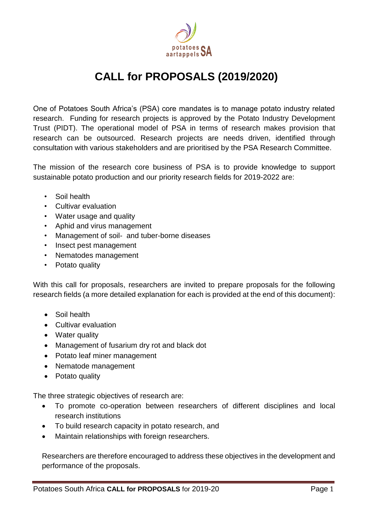

# **CALL for PROPOSALS (2019/2020)**

One of Potatoes South Africa's (PSA) core mandates is to manage potato industry related research. Funding for research projects is approved by the Potato Industry Development Trust (PIDT). The operational model of PSA in terms of research makes provision that research can be outsourced. Research projects are needs driven, identified through consultation with various stakeholders and are prioritised by the PSA Research Committee.

The mission of the research core business of PSA is to provide knowledge to support sustainable potato production and our priority research fields for 2019-2022 are:

- Soil health
- Cultivar evaluation
- Water usage and quality
- Aphid and virus management
- Management of soil- and tuber-borne diseases
- Insect pest management
- Nematodes management
- Potato quality

With this call for proposals, researchers are invited to prepare proposals for the following research fields (a more detailed explanation for each is provided at the end of this document):

- Soil health
- Cultivar evaluation
- Water quality
- Management of fusarium dry rot and black dot
- Potato leaf miner management
- Nematode management
- Potato quality

The three strategic objectives of research are:

- To promote co-operation between researchers of different disciplines and local research institutions
- To build research capacity in potato research, and
- Maintain relationships with foreign researchers.

Researchers are therefore encouraged to address these objectives in the development and performance of the proposals.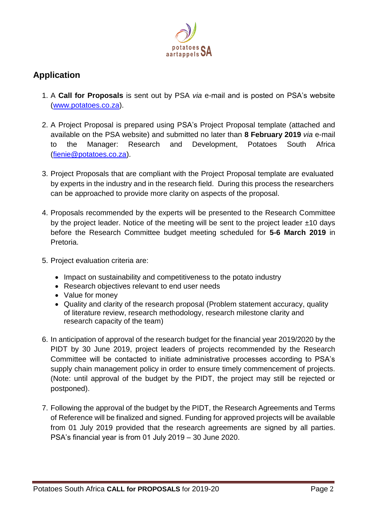

# **Application**

- 1. A **Call for Proposals** is sent out by PSA *via* e-mail and is posted on PSA's website [\(www.potatoes.co.za\)](http://www.potatoes.co.za/).
- 2. A Project Proposal is prepared using PSA's Project Proposal template (attached and available on the PSA website) and submitted no later than **8 February 2019** *via* e-mail to the Manager: Research and Development, Potatoes South Africa [\(fienie@potatoes.co.za\)](mailto:fienie@potatoes.co.za).
- 3. Project Proposals that are compliant with the Project Proposal template are evaluated by experts in the industry and in the research field. During this process the researchers can be approached to provide more clarity on aspects of the proposal.
- 4. Proposals recommended by the experts will be presented to the Research Committee by the project leader. Notice of the meeting will be sent to the project leader  $\pm 10$  days before the Research Committee budget meeting scheduled for **5-6 March 2019** in Pretoria.
- 5. Project evaluation criteria are:
	- Impact on sustainability and competitiveness to the potato industry
	- Research objectives relevant to end user needs
	- Value for money
	- Quality and clarity of the research proposal (Problem statement accuracy, quality of literature review, research methodology, research milestone clarity and research capacity of the team)
- 6. In anticipation of approval of the research budget for the financial year 2019/2020 by the PIDT by 30 June 2019, project leaders of projects recommended by the Research Committee will be contacted to initiate administrative processes according to PSA's supply chain management policy in order to ensure timely commencement of projects. (Note: until approval of the budget by the PIDT, the project may still be rejected or postponed).
- 7. Following the approval of the budget by the PIDT, the Research Agreements and Terms of Reference will be finalized and signed. Funding for approved projects will be available from 01 July 2019 provided that the research agreements are signed by all parties. PSA's financial year is from 01 July 2019 – 30 June 2020.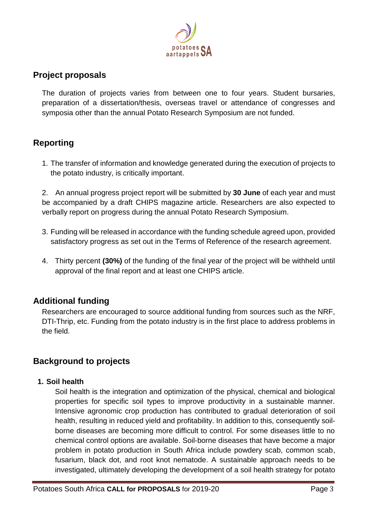

### **Project proposals**

The duration of projects varies from between one to four years. Student bursaries, preparation of a dissertation/thesis, overseas travel or attendance of congresses and symposia other than the annual Potato Research Symposium are not funded.

## **Reporting**

1. The transfer of information and knowledge generated during the execution of projects to the potato industry, is critically important.

2. An annual progress project report will be submitted by **30 June** of each year and must be accompanied by a draft CHIPS magazine article. Researchers are also expected to verbally report on progress during the annual Potato Research Symposium.

- 3. Funding will be released in accordance with the funding schedule agreed upon, provided satisfactory progress as set out in the Terms of Reference of the research agreement.
- 4. Thirty percent **(30%)** of the funding of the final year of the project will be withheld until approval of the final report and at least one CHIPS article.

### **Additional funding**

Researchers are encouraged to source additional funding from sources such as the NRF, DTI-Thrip, etc. Funding from the potato industry is in the first place to address problems in the field.

### **Background to projects**

#### **1. Soil health**

Soil health is the integration and optimization of the physical, chemical and biological properties for specific soil types to improve productivity in a sustainable manner. Intensive agronomic crop production has contributed to gradual deterioration of soil health, resulting in reduced yield and profitability. In addition to this, consequently soilborne diseases are becoming more difficult to control. For some diseases little to no chemical control options are available. Soil-borne diseases that have become a major problem in potato production in South Africa include powdery scab, common scab, fusarium, black dot, and root knot nematode. A sustainable approach needs to be investigated, ultimately developing the development of a soil health strategy for potato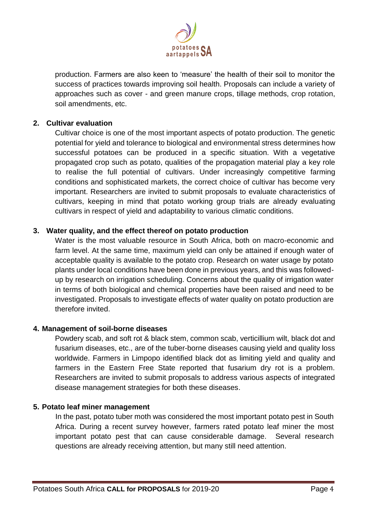

production. Farmers are also keen to 'measure' the health of their soil to monitor the success of practices towards improving soil health. Proposals can include a variety of approaches such as cover - and green manure crops, tillage methods, crop rotation, soil amendments, etc.

#### **2. Cultivar evaluation**

Cultivar choice is one of the most important aspects of potato production. The genetic potential for yield and tolerance to biological and environmental stress determines how successful potatoes can be produced in a specific situation. With a vegetative propagated crop such as potato, qualities of the propagation material play a key role to realise the full potential of cultivars. Under increasingly competitive farming conditions and sophisticated markets, the correct choice of cultivar has become very important. Researchers are invited to submit proposals to evaluate characteristics of cultivars, keeping in mind that potato working group trials are already evaluating cultivars in respect of yield and adaptability to various climatic conditions.

#### **3. Water quality, and the effect thereof on potato production**

Water is the most valuable resource in South Africa, both on macro-economic and farm level. At the same time, maximum yield can only be attained if enough water of acceptable quality is available to the potato crop. Research on water usage by potato plants under local conditions have been done in previous years, and this was followedup by research on irrigation scheduling. Concerns about the quality of irrigation water in terms of both biological and chemical properties have been raised and need to be investigated. Proposals to investigate effects of water quality on potato production are therefore invited.

#### **4. Management of soil-borne diseases**

Powdery scab, and soft rot & black stem, common scab, verticillium wilt, black dot and fusarium diseases, etc., are of the tuber-borne diseases causing yield and quality loss worldwide. Farmers in Limpopo identified black dot as limiting yield and quality and farmers in the Eastern Free State reported that fusarium dry rot is a problem. Researchers are invited to submit proposals to address various aspects of integrated disease management strategies for both these diseases.

#### **5. Potato leaf miner management**

In the past, potato tuber moth was considered the most important potato pest in South Africa. During a recent survey however, farmers rated potato leaf miner the most important potato pest that can cause considerable damage. Several research questions are already receiving attention, but many still need attention.